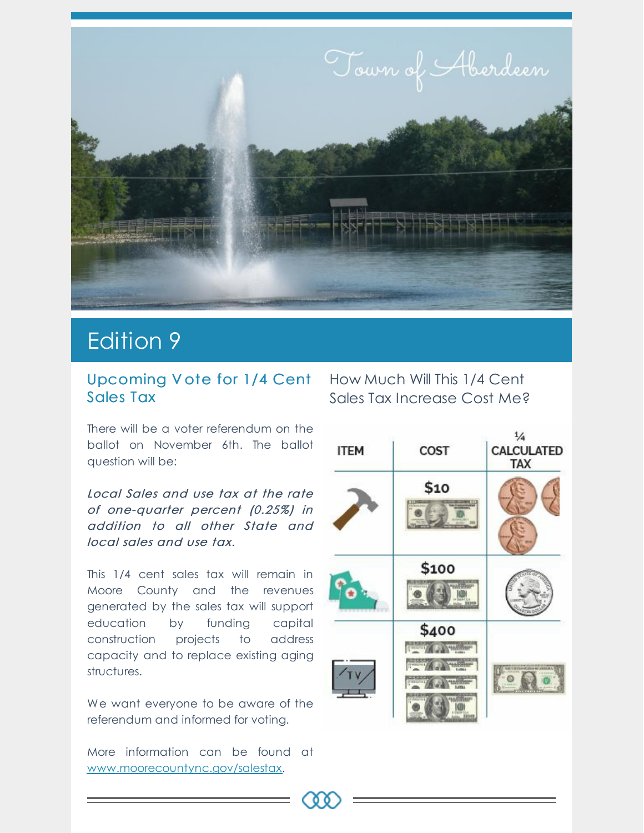

## Edition 9

#### Upcoming V ote for 1/4 Cent How Much Will This 1/4 Cent Sales Tax

There will be a voter referendum on the ballot on November 6th. The ballot question will be:

Local Sales and use tax at the rate of one-quarter percent (0.25%) in addition to all other State and local sales and use tax.

This 1/4 cent sales tax will remain in Moore County and the revenues generated by the sales tax will support education by funding capital construction projects to address capacity and to replace existing aging structures.

We want everyone to be aware of the referendum and informed for voting.

More information can be found at [www.moorecountync.gov/salestax](http://www.moorecountync.gov/salestax).

# Sales Tax Increase Cost Me?

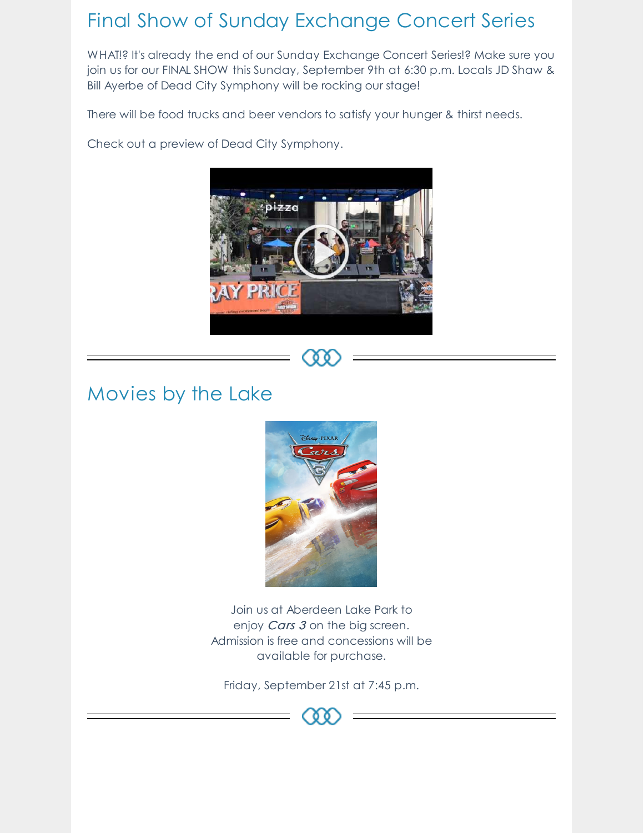### Final Show of Sunday Exchange Concert Series

WHAT!? It's already the end of our Sunday [Exchange](https://www.facebook.com/events/183731465778162/?event_time_id=183731489111493&acontext=%7B%22source%22:3,%22source_newsfeed_story_type%22:%22regular%22,%22action_history%22:%22[%7B%5C%22surface%5C%22:%5C%22newsfeed%5C%22,%5C%22mechanism%5C%22:%5C%22feed_story%5C%22,%5C%22extra_data%5C%22:[]%7D]%22,%22has_source%22:true%7D&source=3&source_newsfeed_story_type=regular&action_history=[%7B%22surface%22:%22newsfeed%22,%22mechanism%22:%22feed_story%22,%22extra_data%22:[]%7D]&has_source=1&fref=mentions&__xts__[0]=68.ARA4kU-DgFwX7TbadGXzdH-X3Xzu1Fu5gjEt-rcvJH_l0SVYlfd4Y7_0ZYXtY1OvrZ-1fdsMINs397ip87uV1GnjJCBqbIQ7UjezISn8b-gkh4NYivEpcXXdAJYkf3PrPc9eUjXiuiWATdjRlMedCpSNimGEE_coB9xtezCxOho7iIcp7AvSWg&__tn__=K-R) Concert Series!? Make sure you join us for our FINAL SHOW this Sunday, [September](https://www.facebook.com/JDandBILL/?fref=mentions&__xts__[0]=68.ARA4kU-DgFwX7TbadGXzdH-X3Xzu1Fu5gjEt-rcvJH_l0SVYlfd4Y7_0ZYXtY1OvrZ-1fdsMINs397ip87uV1GnjJCBqbIQ7UjezISn8b-gkh4NYivEpcXXdAJYkf3PrPc9eUjXiuiWATdjRlMedCpSNimGEE_coB9xtezCxOho7iIcp7AvSWg&__tn__=K-R) 9th at 6:30 p.m. Locals JD Shaw & Bill Ayerbe of Dead City Symphony will be rocking our stage!

There will be food trucks and beer vendors to satisfy your hunger & thirst needs.

Check out a preview of Dead City Symphony.



### Movies by the Lake



Join us at Aberdeen Lake Park to enjoy *Cars 3* on the big screen. Admission is free and concessions will be available for purchase.

Friday, September 21st at 7:45 p.m.